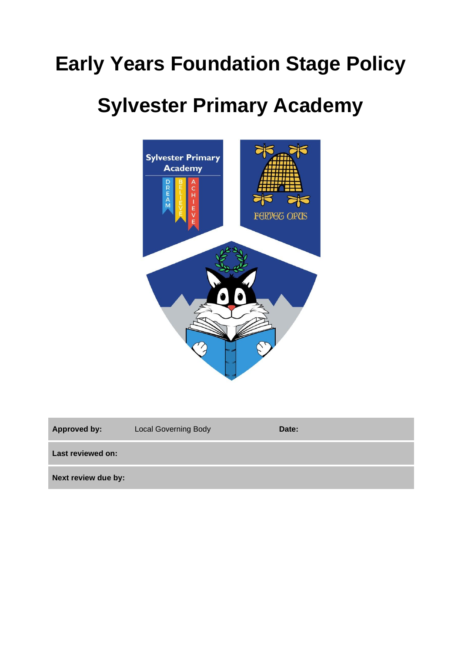# **Early Years Foundation Stage Policy**

# **Sylvester Primary Academy**



| <b>Approved by:</b> | <b>Local Governing Body</b> | Date: |
|---------------------|-----------------------------|-------|
| Last reviewed on:   |                             |       |
| Next review due by: |                             |       |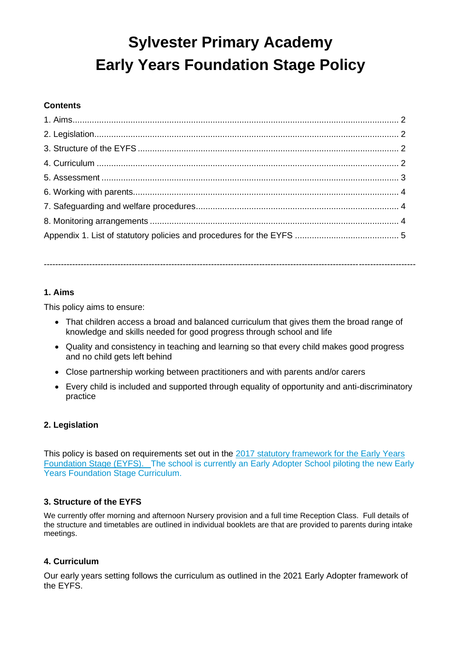# **Sylvester Primary Academy Early Years Foundation Stage Policy**

# **Contents**

# -----------------------------------------------------------------------------------------------------------------------------------

# **1. Aims**

This policy aims to ensure:

- That children access a broad and balanced curriculum that gives them the broad range of knowledge and skills needed for good progress through school and life
- Quality and consistency in teaching and learning so that every child makes good progress and no child gets left behind
- Close partnership working between practitioners and with parents and/or carers
- Every child is included and supported through equality of opportunity and anti-discriminatory practice

#### **2. Legislation**

This policy is based on requirements set out in the [2017 statutory framework for the Early Years](https://www.gov.uk/government/uploads/system/uploads/attachment_data/file/596629/EYFS_STATUTORY_FRAMEWORK_2017.pdf)  [Foundation Stage \(EYFS\).](https://www.gov.uk/government/uploads/system/uploads/attachment_data/file/596629/EYFS_STATUTORY_FRAMEWORK_2017.pdf) The school is currently an Early Adopter School piloting the new Early Years Foundation Stage Curriculum.

#### **3. Structure of the EYFS**

We currently offer morning and afternoon Nursery provision and a full time Reception Class. Full details of the structure and timetables are outlined in individual booklets are that are provided to parents during intake meetings.

#### **4. Curriculum**

Our early years setting follows the curriculum as outlined in the 2021 Early Adopter framework of the EYFS.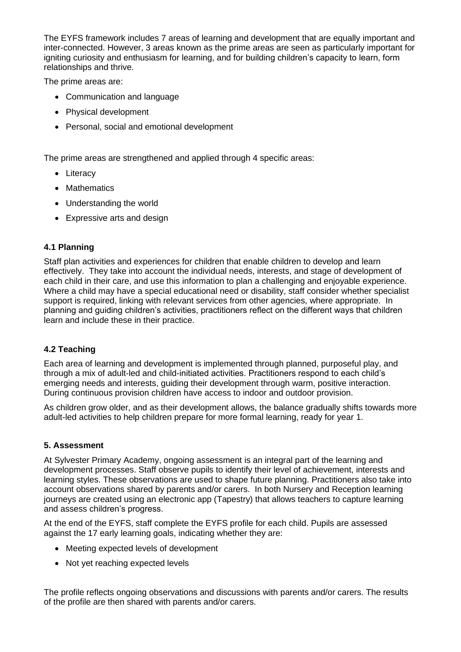The EYFS framework includes 7 areas of learning and development that are equally important and inter-connected. However, 3 areas known as the prime areas are seen as particularly important for igniting curiosity and enthusiasm for learning, and for building children's capacity to learn, form relationships and thrive.

The prime areas are:

- Communication and language
- Physical development
- Personal, social and emotional development

The prime areas are strengthened and applied through 4 specific areas:

- Literacy
- Mathematics
- Understanding the world
- Expressive arts and design

# **4.1 Planning**

Staff plan activities and experiences for children that enable children to develop and learn effectively. They take into account the individual needs, interests, and stage of development of each child in their care, and use this information to plan a challenging and enjoyable experience. Where a child may have a special educational need or disability, staff consider whether specialist support is required, linking with relevant services from other agencies, where appropriate. In planning and guiding children's activities, practitioners reflect on the different ways that children learn and include these in their practice.

# **4.2 Teaching**

Each area of learning and development is implemented through planned, purposeful play, and through a mix of adult-led and child-initiated activities. Practitioners respond to each child's emerging needs and interests, guiding their development through warm, positive interaction. During continuous provision children have access to indoor and outdoor provision.

As children grow older, and as their development allows, the balance gradually shifts towards more adult-led activities to help children prepare for more formal learning, ready for year 1.

#### **5. Assessment**

At Sylvester Primary Academy, ongoing assessment is an integral part of the learning and development processes. Staff observe pupils to identify their level of achievement, interests and learning styles. These observations are used to shape future planning. Practitioners also take into account observations shared by parents and/or carers. In both Nursery and Reception learning journeys are created using an electronic app (Tapestry) that allows teachers to capture learning and assess children's progress.

At the end of the EYFS, staff complete the EYFS profile for each child. Pupils are assessed against the 17 early learning goals, indicating whether they are:

- Meeting expected levels of development
- Not yet reaching expected levels

The profile reflects ongoing observations and discussions with parents and/or carers. The results of the profile are then shared with parents and/or carers.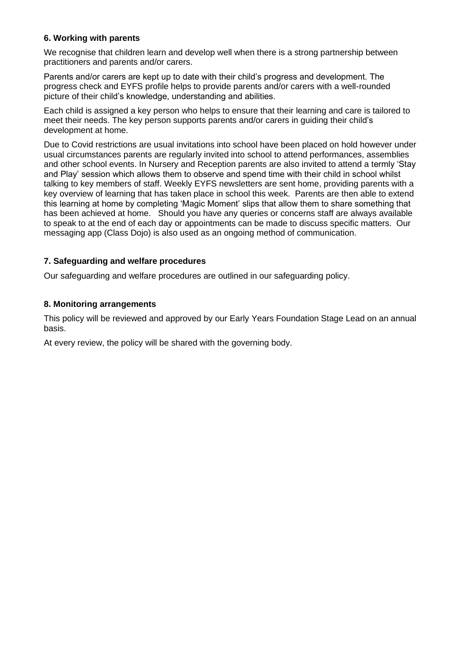# **6. Working with parents**

We recognise that children learn and develop well when there is a strong partnership between practitioners and parents and/or carers.

Parents and/or carers are kept up to date with their child's progress and development. The progress check and EYFS profile helps to provide parents and/or carers with a well-rounded picture of their child's knowledge, understanding and abilities.

Each child is assigned a key person who helps to ensure that their learning and care is tailored to meet their needs. The key person supports parents and/or carers in guiding their child's development at home.

Due to Covid restrictions are usual invitations into school have been placed on hold however under usual circumstances parents are regularly invited into school to attend performances, assemblies and other school events. In Nursery and Reception parents are also invited to attend a termly 'Stay and Play' session which allows them to observe and spend time with their child in school whilst talking to key members of staff. Weekly EYFS newsletters are sent home, providing parents with a key overview of learning that has taken place in school this week. Parents are then able to extend this learning at home by completing 'Magic Moment' slips that allow them to share something that has been achieved at home. Should you have any queries or concerns staff are always available to speak to at the end of each day or appointments can be made to discuss specific matters. Our messaging app (Class Dojo) is also used as an ongoing method of communication.

# **7. Safeguarding and welfare procedures**

Our safeguarding and welfare procedures are outlined in our safeguarding policy.

# **8. Monitoring arrangements**

This policy will be reviewed and approved by our Early Years Foundation Stage Lead on an annual basis.

At every review, the policy will be shared with the governing body.